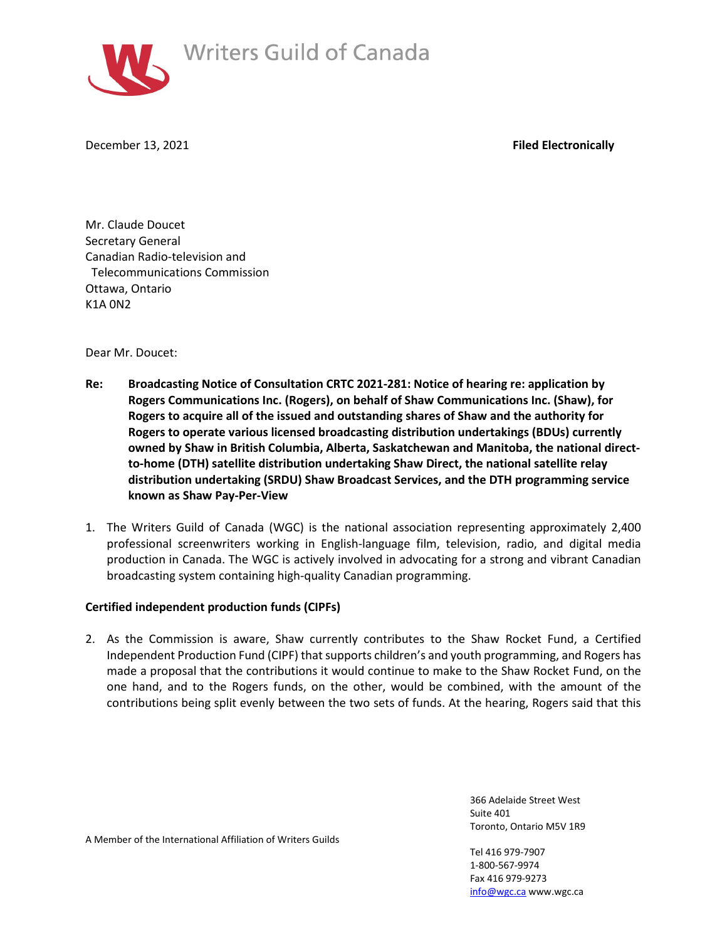

December 13, 2021 **Filed Electronically**

Mr. Claude Doucet Secretary General Canadian Radio-television and Telecommunications Commission Ottawa, Ontario K1A 0N2

Dear Mr. Doucet:

- **Re: Broadcasting Notice of Consultation CRTC 2021-281: Notice of hearing re: application by Rogers Communications Inc. (Rogers), on behalf of Shaw Communications Inc. (Shaw), for Rogers to acquire all of the issued and outstanding shares of Shaw and the authority for Rogers to operate various licensed broadcasting distribution undertakings (BDUs) currently owned by Shaw in British Columbia, Alberta, Saskatchewan and Manitoba, the national directto-home (DTH) satellite distribution undertaking Shaw Direct, the national satellite relay distribution undertaking (SRDU) Shaw Broadcast Services, and the DTH programming service known as Shaw Pay-Per-View**
- 1. The Writers Guild of Canada (WGC) is the national association representing approximately 2,400 professional screenwriters working in English-language film, television, radio, and digital media production in Canada. The WGC is actively involved in advocating for a strong and vibrant Canadian broadcasting system containing high-quality Canadian programming.

## **Certified independent production funds (CIPFs)**

2. As the Commission is aware, Shaw currently contributes to the Shaw Rocket Fund, a Certified Independent Production Fund (CIPF) that supports children's and youth programming, and Rogers has made a proposal that the contributions it would continue to make to the Shaw Rocket Fund, on the one hand, and to the Rogers funds, on the other, would be combined, with the amount of the contributions being split evenly between the two sets of funds. At the hearing, Rogers said that this

> 366 Adelaide Street West Suite 401 Toronto, Ontario M5V 1R9

A Member of the International Affiliation of Writers Guilds

Tel 416 979-7907 1-800-567-9974 Fax 416 979-9273 [info@wgc.ca](mailto:info@wgc.ca) www.wgc.ca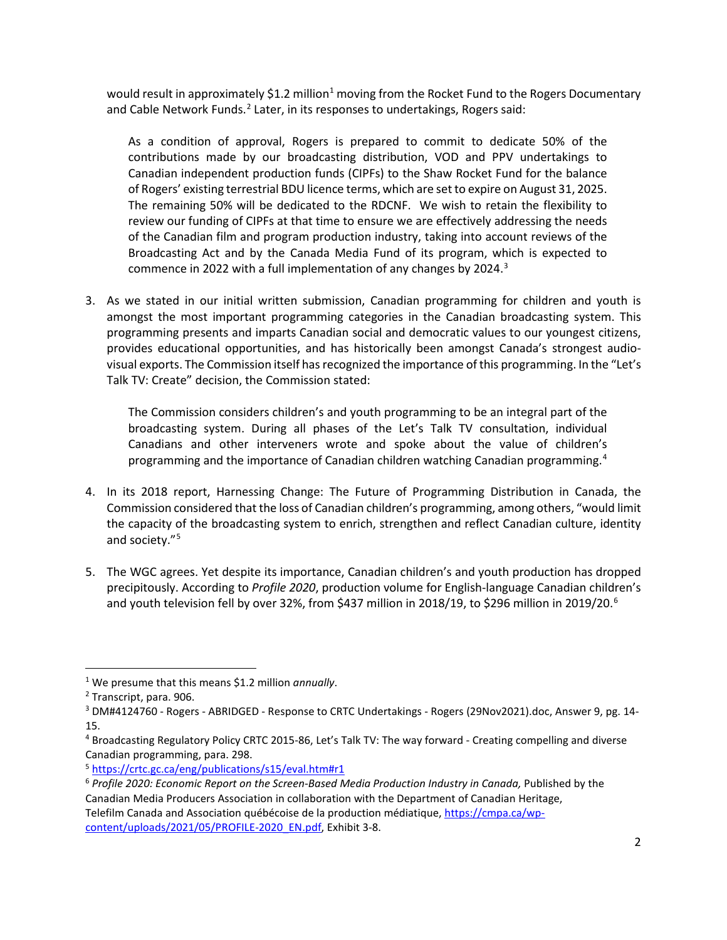would result in approximately \$[1](#page-1-0).2 million<sup>1</sup> moving from the Rocket Fund to the Rogers Documentary and Cable Network Funds.<sup>[2](#page-1-1)</sup> Later, in its responses to undertakings, Rogers said:

As a condition of approval, Rogers is prepared to commit to dedicate 50% of the contributions made by our broadcasting distribution, VOD and PPV undertakings to Canadian independent production funds (CIPFs) to the Shaw Rocket Fund for the balance of Rogers' existing terrestrial BDU licence terms, which are set to expire on August 31, 2025. The remaining 50% will be dedicated to the RDCNF. We wish to retain the flexibility to review our funding of CIPFs at that time to ensure we are effectively addressing the needs of the Canadian film and program production industry, taking into account reviews of the Broadcasting Act and by the Canada Media Fund of its program, which is expected to commence in 2022 with a full implementation of any changes by 2024.<sup>[3](#page-1-2)</sup>

3. As we stated in our initial written submission, Canadian programming for children and youth is amongst the most important programming categories in the Canadian broadcasting system. This programming presents and imparts Canadian social and democratic values to our youngest citizens, provides educational opportunities, and has historically been amongst Canada's strongest audiovisual exports. The Commission itself has recognized the importance of this programming. In the "Let's Talk TV: Create" decision, the Commission stated:

The Commission considers children's and youth programming to be an integral part of the broadcasting system. During all phases of the Let's Talk TV consultation, individual Canadians and other interveners wrote and spoke about the value of children's programming and the importance of Canadian children watching Canadian programming.<sup>[4](#page-1-3)</sup>

- 4. In its 2018 report, Harnessing Change: The Future of Programming Distribution in Canada, the Commission considered that the loss of Canadian children's programming, among others, "would limit the capacity of the broadcasting system to enrich, strengthen and reflect Canadian culture, identity and society."[5](#page-1-4)
- 5. The WGC agrees. Yet despite its importance, Canadian children's and youth production has dropped precipitously. According to *Profile 2020*, production volume for English-language Canadian children's and youth television fell by over 32%, from \$437 million in 2018/19, to \$29[6](#page-1-5) million in 2019/20.<sup>6</sup>

<span id="page-1-0"></span><sup>1</sup> We presume that this means \$1.2 million *annually*.

<span id="page-1-1"></span><sup>2</sup> Transcript, para. 906.

<span id="page-1-2"></span><sup>&</sup>lt;sup>3</sup> DM#4124760 - Rogers - ABRIDGED - Response to CRTC Undertakings - Rogers (29Nov2021).doc, Answer 9, pg. 14-15.

<span id="page-1-3"></span><sup>4</sup> Broadcasting Regulatory Policy CRTC 2015-86, Let's Talk TV: The way forward - Creating compelling and diverse Canadian programming, para. 298.

<span id="page-1-4"></span><sup>5</sup> <https://crtc.gc.ca/eng/publications/s15/eval.htm#r1>

<span id="page-1-5"></span><sup>&</sup>lt;sup>6</sup> Profile 2020: Economic Report on the Screen-Based Media Production Industry in Canada, Published by the Canadian Media Producers Association in collaboration with the Department of Canadian Heritage, Telefilm Canada and Association québécoise de la production médiatique, [https://cmpa.ca/wp](https://cmpa.ca/wp-content/uploads/2021/05/PROFILE-2020_EN.pdf)[content/uploads/2021/05/PROFILE-2020\\_EN.pdf,](https://cmpa.ca/wp-content/uploads/2021/05/PROFILE-2020_EN.pdf) Exhibit 3-8.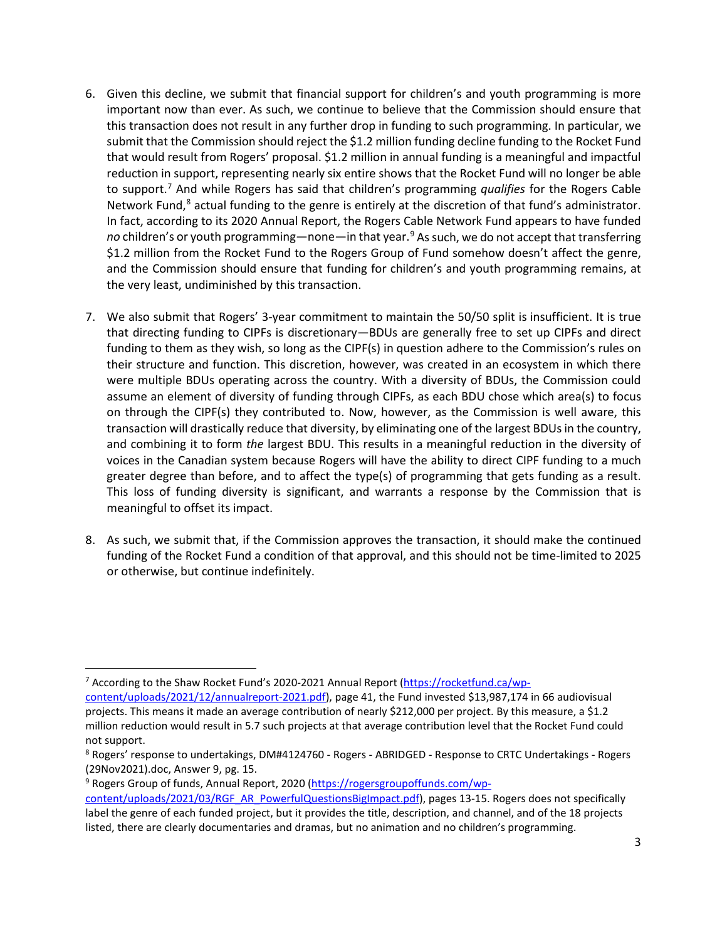- 6. Given this decline, we submit that financial support for children's and youth programming is more important now than ever. As such, we continue to believe that the Commission should ensure that this transaction does not result in any further drop in funding to such programming. In particular, we submit that the Commission should reject the \$1.2 million funding decline funding to the Rocket Fund that would result from Rogers' proposal. \$1.2 million in annual funding is a meaningful and impactful reduction in support, representing nearly six entire shows that the Rocket Fund will no longer be able to support.[7](#page-2-0) And while Rogers has said that children's programming *qualifies* for the Rogers Cable Network Fund,<sup>[8](#page-2-1)</sup> actual funding to the genre is entirely at the discretion of that fund's administrator. In fact, according to its 2020 Annual Report, the Rogers Cable Network Fund appears to have funded *no* children's or youth programming—none—in that year.[9](#page-2-2) As such, we do not accept that transferring \$1.2 million from the Rocket Fund to the Rogers Group of Fund somehow doesn't affect the genre, and the Commission should ensure that funding for children's and youth programming remains, at the very least, undiminished by this transaction.
- 7. We also submit that Rogers' 3-year commitment to maintain the 50/50 split is insufficient. It is true that directing funding to CIPFs is discretionary—BDUs are generally free to set up CIPFs and direct funding to them as they wish, so long as the CIPF(s) in question adhere to the Commission's rules on their structure and function. This discretion, however, was created in an ecosystem in which there were multiple BDUs operating across the country. With a diversity of BDUs, the Commission could assume an element of diversity of funding through CIPFs, as each BDU chose which area(s) to focus on through the CIPF(s) they contributed to. Now, however, as the Commission is well aware, this transaction will drastically reduce that diversity, by eliminating one of the largest BDUs in the country, and combining it to form *the* largest BDU. This results in a meaningful reduction in the diversity of voices in the Canadian system because Rogers will have the ability to direct CIPF funding to a much greater degree than before, and to affect the type(s) of programming that gets funding as a result. This loss of funding diversity is significant, and warrants a response by the Commission that is meaningful to offset its impact.
- 8. As such, we submit that, if the Commission approves the transaction, it should make the continued funding of the Rocket Fund a condition of that approval, and this should not be time-limited to 2025 or otherwise, but continue indefinitely.

<span id="page-2-0"></span><sup>7</sup> According to the Shaw Rocket Fund's 2020-2021 Annual Report [\(https://rocketfund.ca/wp](https://rocketfund.ca/wp-content/uploads/2021/12/annualreport-2021.pdf)[content/uploads/2021/12/annualreport-2021.pdf\)](https://rocketfund.ca/wp-content/uploads/2021/12/annualreport-2021.pdf), page 41, the Fund invested \$13,987,174 in 66 audiovisual

<span id="page-2-2"></span>9 Rogers Group of funds, Annual Report, 2020 [\(https://rogersgroupoffunds.com/wp-](https://rogersgroupoffunds.com/wp-content/uploads/2021/03/RGF_AR_PowerfulQuestionsBigImpact.pdf)

projects. This means it made an average contribution of nearly \$212,000 per project. By this measure, a \$1.2 million reduction would result in 5.7 such projects at that average contribution level that the Rocket Fund could not support.

<span id="page-2-1"></span><sup>8</sup> Rogers' response to undertakings, DM#4124760 - Rogers - ABRIDGED - Response to CRTC Undertakings - Rogers (29Nov2021).doc, Answer 9, pg. 15.

[content/uploads/2021/03/RGF\\_AR\\_PowerfulQuestionsBigImpact.pdf\)](https://rogersgroupoffunds.com/wp-content/uploads/2021/03/RGF_AR_PowerfulQuestionsBigImpact.pdf), pages 13-15. Rogers does not specifically label the genre of each funded project, but it provides the title, description, and channel, and of the 18 projects listed, there are clearly documentaries and dramas, but no animation and no children's programming.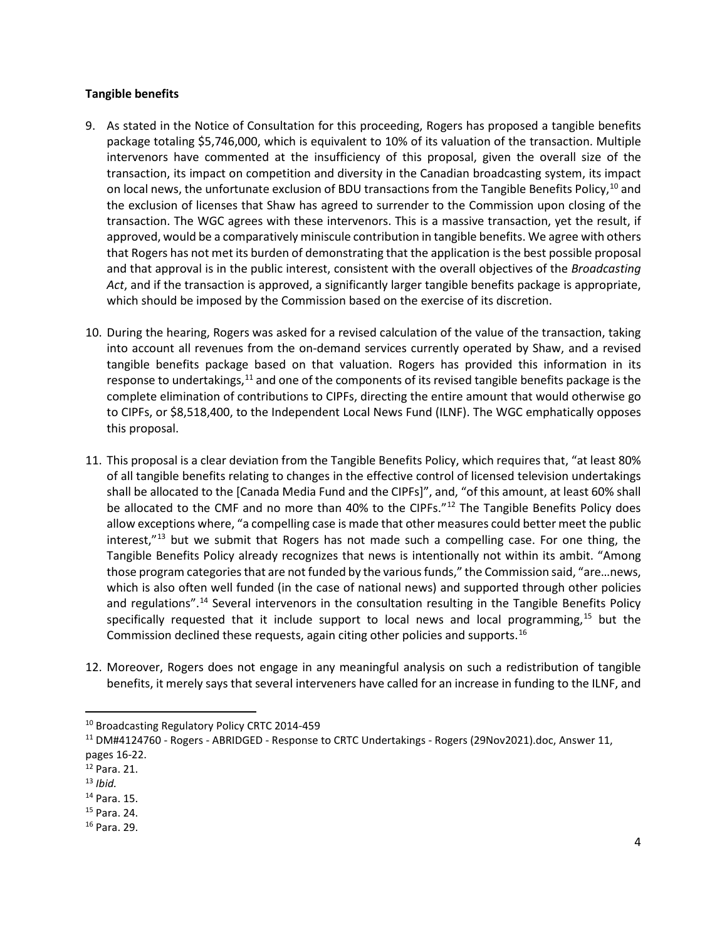## **Tangible benefits**

- 9. As stated in the Notice of Consultation for this proceeding, Rogers has proposed a tangible benefits package totaling \$5,746,000, which is equivalent to 10% of its valuation of the transaction. Multiple intervenors have commented at the insufficiency of this proposal, given the overall size of the transaction, its impact on competition and diversity in the Canadian broadcasting system, its impact on local news, the unfortunate exclusion of BDU transactions from the Tangible Benefits Policy, <sup>[10](#page-3-0)</sup> and the exclusion of licenses that Shaw has agreed to surrender to the Commission upon closing of the transaction. The WGC agrees with these intervenors. This is a massive transaction, yet the result, if approved, would be a comparatively miniscule contribution in tangible benefits. We agree with others that Rogers has not met its burden of demonstrating that the application is the best possible proposal and that approval is in the public interest, consistent with the overall objectives of the *Broadcasting Act*, and if the transaction is approved, a significantly larger tangible benefits package is appropriate, which should be imposed by the Commission based on the exercise of its discretion.
- 10. During the hearing, Rogers was asked for a revised calculation of the value of the transaction, taking into account all revenues from the on-demand services currently operated by Shaw, and a revised tangible benefits package based on that valuation. Rogers has provided this information in its response to undertakings, $11$  and one of the components of its revised tangible benefits package is the complete elimination of contributions to CIPFs, directing the entire amount that would otherwise go to CIPFs, or \$8,518,400, to the Independent Local News Fund (ILNF). The WGC emphatically opposes this proposal.
- 11. This proposal is a clear deviation from the Tangible Benefits Policy, which requires that, "at least 80% of all tangible benefits relating to changes in the effective control of licensed television undertakings shall be allocated to the [Canada Media Fund and the CIPFs]", and, "of this amount, at least 60% shall be allocated to the CMF and no more than 40% to the CIPFs."<sup>[12](#page-3-2)</sup> The Tangible Benefits Policy does allow exceptions where, "a compelling case is made that other measures could better meet the public interest,"<sup>[13](#page-3-3)</sup> but we submit that Rogers has not made such a compelling case. For one thing, the Tangible Benefits Policy already recognizes that news is intentionally not within its ambit. "Among those program categories that are not funded by the various funds," the Commission said, "are…news, which is also often well funded (in the case of national news) and supported through other policies and regulations".<sup>14</sup> Several intervenors in the consultation resulting in the Tangible Benefits Policy specifically requested that it include support to local news and local programming,<sup>[15](#page-3-5)</sup> but the Commission declined these requests, again citing other policies and supports.<sup>[16](#page-3-6)</sup>
- 12. Moreover, Rogers does not engage in any meaningful analysis on such a redistribution of tangible benefits, it merely says that several interveners have called for an increase in funding to the ILNF, and

<span id="page-3-0"></span><sup>10</sup> Broadcasting Regulatory Policy CRTC 2014-459

<span id="page-3-1"></span><sup>11</sup> DM#4124760 - Rogers - ABRIDGED - Response to CRTC Undertakings - Rogers (29Nov2021).doc, Answer 11, pages 16-22.

<span id="page-3-2"></span><sup>12</sup> Para. 21.

<span id="page-3-3"></span><sup>13</sup> *Ibid.*

<span id="page-3-4"></span><sup>14</sup> Para. 15.

<span id="page-3-5"></span><sup>15</sup> Para. 24.

<span id="page-3-6"></span><sup>16</sup> Para. 29.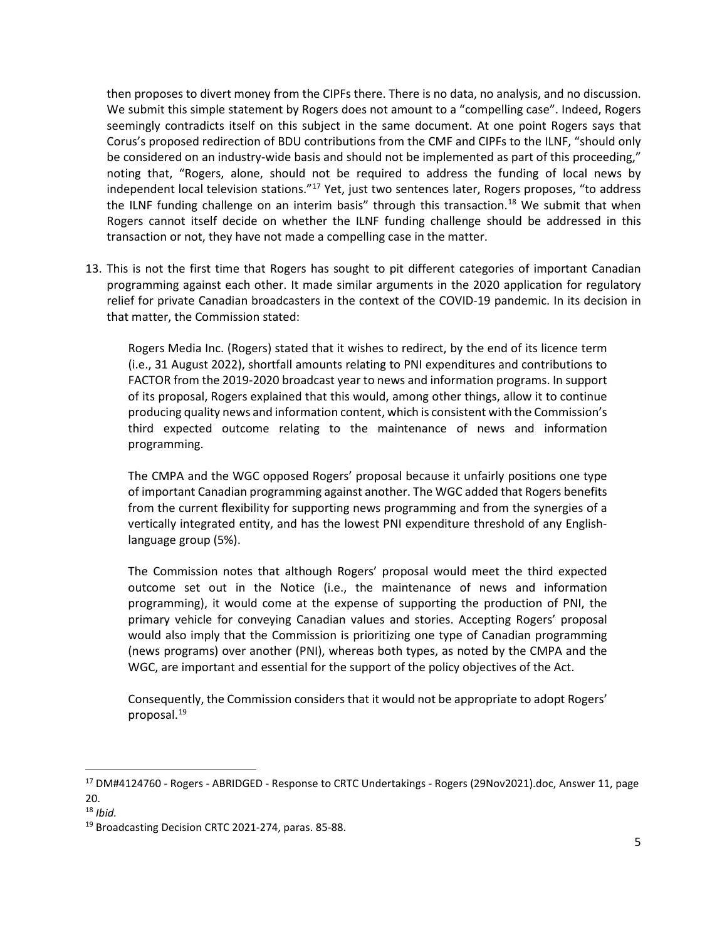then proposes to divert money from the CIPFs there. There is no data, no analysis, and no discussion. We submit this simple statement by Rogers does not amount to a "compelling case". Indeed, Rogers seemingly contradicts itself on this subject in the same document. At one point Rogers says that Corus's proposed redirection of BDU contributions from the CMF and CIPFs to the ILNF, "should only be considered on an industry-wide basis and should not be implemented as part of this proceeding," noting that, "Rogers, alone, should not be required to address the funding of local news by independent local television stations."<sup>[17](#page-4-0)</sup> Yet, just two sentences later, Rogers proposes, "to address the ILNF funding challenge on an interim basis" through this transaction.<sup>[18](#page-4-1)</sup> We submit that when Rogers cannot itself decide on whether the ILNF funding challenge should be addressed in this transaction or not, they have not made a compelling case in the matter.

13. This is not the first time that Rogers has sought to pit different categories of important Canadian programming against each other. It made similar arguments in the 2020 application for regulatory relief for private Canadian broadcasters in the context of the COVID-19 pandemic. In its decision in that matter, the Commission stated:

Rogers Media Inc. (Rogers) stated that it wishes to redirect, by the end of its licence term (i.e., 31 August 2022), shortfall amounts relating to PNI expenditures and contributions to FACTOR from the 2019-2020 broadcast year to news and information programs. In support of its proposal, Rogers explained that this would, among other things, allow it to continue producing quality news and information content, which is consistent with the Commission's third expected outcome relating to the maintenance of news and information programming.

The CMPA and the WGC opposed Rogers' proposal because it unfairly positions one type of important Canadian programming against another. The WGC added that Rogers benefits from the current flexibility for supporting news programming and from the synergies of a vertically integrated entity, and has the lowest PNI expenditure threshold of any Englishlanguage group (5%).

The Commission notes that although Rogers' proposal would meet the third expected outcome set out in the Notice (i.e., the maintenance of news and information programming), it would come at the expense of supporting the production of PNI, the primary vehicle for conveying Canadian values and stories. Accepting Rogers' proposal would also imply that the Commission is prioritizing one type of Canadian programming (news programs) over another (PNI), whereas both types, as noted by the CMPA and the WGC, are important and essential for the support of the policy objectives of the Act.

Consequently, the Commission considers that it would not be appropriate to adopt Rogers' proposal.[19](#page-4-2)

<span id="page-4-0"></span><sup>&</sup>lt;sup>17</sup> DM#4124760 - Rogers - ABRIDGED - Response to CRTC Undertakings - Rogers (29Nov2021).doc, Answer 11, page 20.

<span id="page-4-1"></span><sup>18</sup> *Ibid.*

<span id="page-4-2"></span><sup>&</sup>lt;sup>19</sup> Broadcasting Decision CRTC 2021-274, paras. 85-88.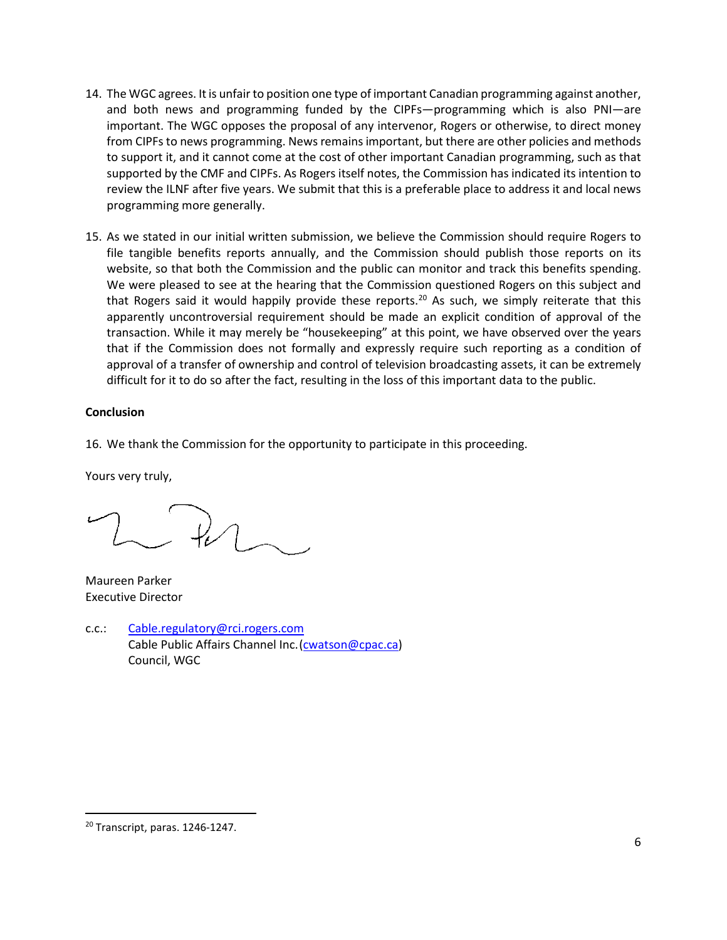- 14. The WGC agrees. It is unfair to position one type of important Canadian programming against another, and both news and programming funded by the CIPFs—programming which is also PNI—are important. The WGC opposes the proposal of any intervenor, Rogers or otherwise, to direct money from CIPFs to news programming. News remains important, but there are other policies and methods to support it, and it cannot come at the cost of other important Canadian programming, such as that supported by the CMF and CIPFs. As Rogers itself notes, the Commission has indicated its intention to review the ILNF after five years. We submit that this is a preferable place to address it and local news programming more generally.
- 15. As we stated in our initial written submission, we believe the Commission should require Rogers to file tangible benefits reports annually, and the Commission should publish those reports on its website, so that both the Commission and the public can monitor and track this benefits spending. We were pleased to see at the hearing that the Commission questioned Rogers on this subject and that Rogers said it would happily provide these reports.<sup>[20](#page-5-0)</sup> As such, we simply reiterate that this apparently uncontroversial requirement should be made an explicit condition of approval of the transaction. While it may merely be "housekeeping" at this point, we have observed over the years that if the Commission does not formally and expressly require such reporting as a condition of approval of a transfer of ownership and control of television broadcasting assets, it can be extremely difficult for it to do so after the fact, resulting in the loss of this important data to the public.

## **Conclusion**

16. We thank the Commission for the opportunity to participate in this proceeding.

Yours very truly,

 $LR$ 

Maureen Parker Executive Director

c.c.: [Cable.regulatory@rci.rogers.com](mailto:Cable.regulatory@rci.rogers.com) Cable Public Affairs Channel Inc. [\(cwatson@cpac.ca\)](mailto:cwatson@cpac.ca) Council, WGC

<span id="page-5-0"></span><sup>20</sup> Transcript, paras. 1246-1247.